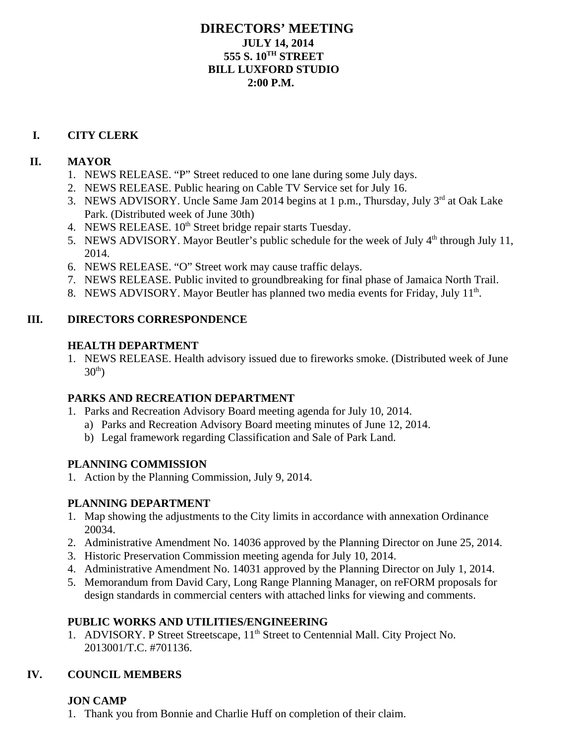#### **DIRECTORS' MEETING JULY 14, 2014 555 S. 10TH STREET BILL LUXFORD STUDIO 2:00 P.M.**

#### **I. CITY CLERK**

#### **II. MAYOR**

- 1. NEWS RELEASE. "P" Street reduced to one lane during some July days.
- 2. NEWS RELEASE. Public hearing on Cable TV Service set for July 16.
- 3. NEWS ADVISORY. Uncle Same Jam 2014 begins at 1 p.m., Thursday, July 3<sup>rd</sup> at Oak Lake Park. (Distributed week of June 30th)
- 4. NEWS RELEASE. 10<sup>th</sup> Street bridge repair starts Tuesday.
- 5. NEWS ADVISORY. Mayor Beutler's public schedule for the week of July 4<sup>th</sup> through July 11, 2014.
- 6. NEWS RELEASE. "O" Street work may cause traffic delays.
- 7. NEWS RELEASE. Public invited to groundbreaking for final phase of Jamaica North Trail.
- 8. NEWS ADVISORY. Mayor Beutler has planned two media events for Friday, July 11<sup>th</sup>.

#### **III. DIRECTORS CORRESPONDENCE**

#### **HEALTH DEPARTMENT**

1. NEWS RELEASE. Health advisory issued due to fireworks smoke. (Distributed week of June  $30<sup>th</sup>$ )

# **PARKS AND RECREATION DEPARTMENT**

- 1. Parks and Recreation Advisory Board meeting agenda for July 10, 2014.
	- a) Parks and Recreation Advisory Board meeting minutes of June 12, 2014.
	- b) Legal framework regarding Classification and Sale of Park Land.

# **PLANNING COMMISSION**

1. Action by the Planning Commission, July 9, 2014.

# **PLANNING DEPARTMENT**

- 1. Map showing the adjustments to the City limits in accordance with annexation Ordinance 20034.
- 2. Administrative Amendment No. 14036 approved by the Planning Director on June 25, 2014.
- 3. Historic Preservation Commission meeting agenda for July 10, 2014.
- 4. Administrative Amendment No. 14031 approved by the Planning Director on July 1, 2014.
- 5. Memorandum from David Cary, Long Range Planning Manager, on reFORM proposals for design standards in commercial centers with attached links for viewing and comments.

# **PUBLIC WORKS AND UTILITIES/ENGINEERING**

1. ADVISORY. P Street Streetscape, 11<sup>th</sup> Street to Centennial Mall. City Project No. 2013001/T.C. #701136.

# **IV. COUNCIL MEMBERS**

#### **JON CAMP**

1. Thank you from Bonnie and Charlie Huff on completion of their claim.